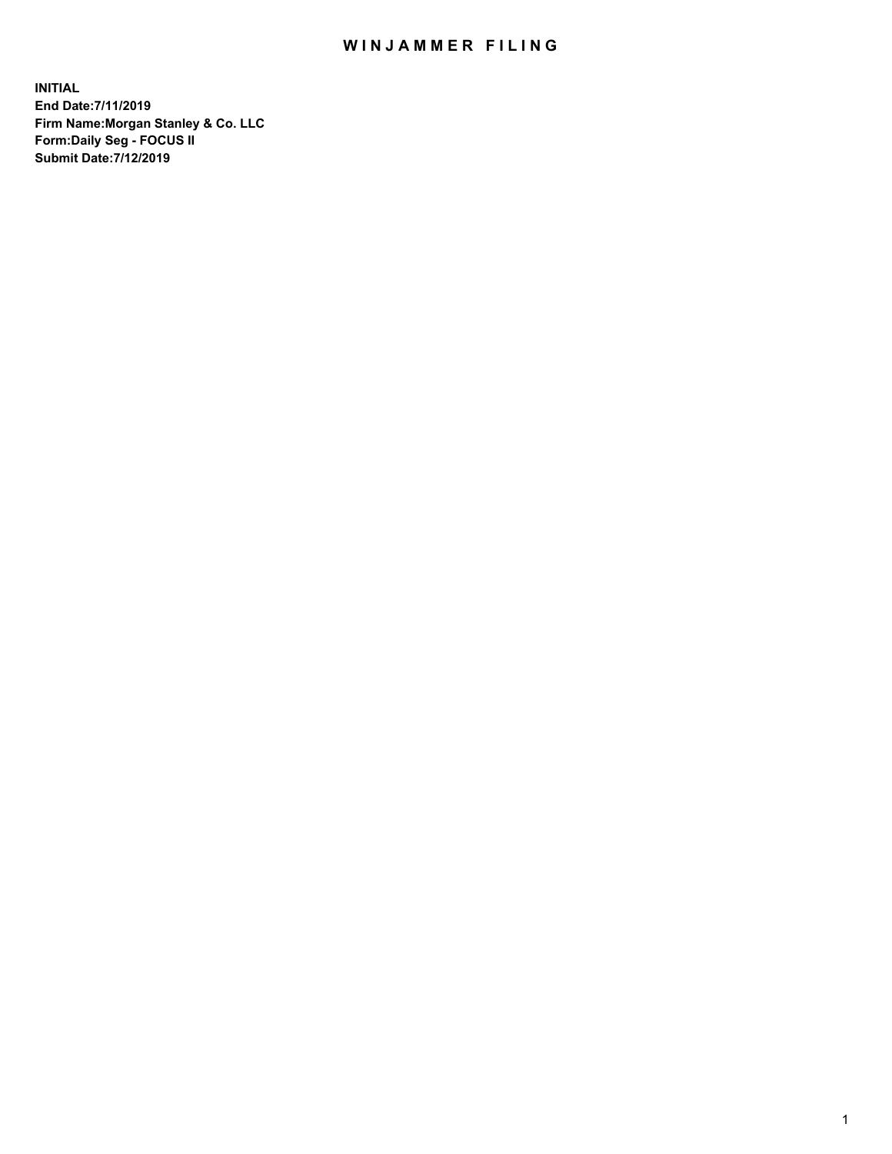## WIN JAMMER FILING

**INITIAL End Date:7/11/2019 Firm Name:Morgan Stanley & Co. LLC Form:Daily Seg - FOCUS II Submit Date:7/12/2019**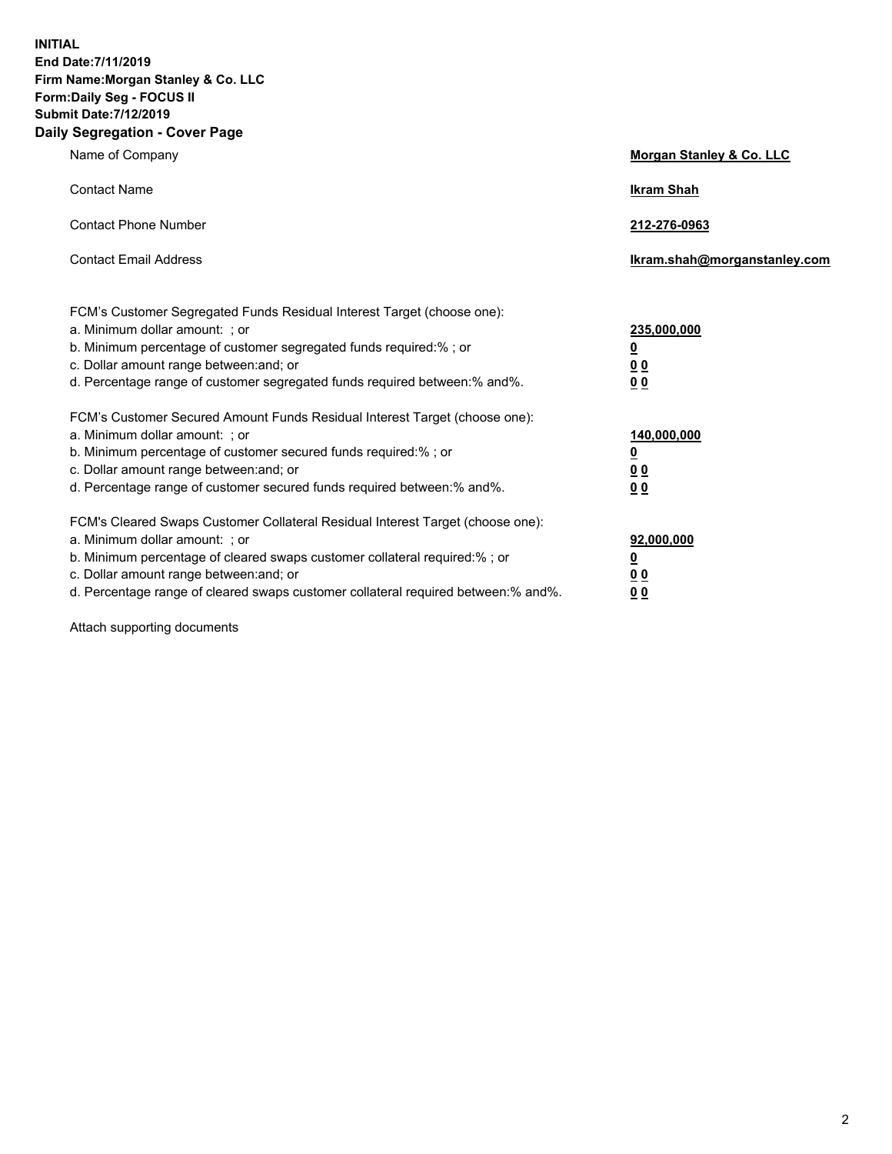**INITIAL End Date:7/11/2019 Firm Name:Morgan Stanley & Co. LLC Form:Daily Seg - FOCUS II Submit Date:7/12/2019 Daily Segregation - Cover Page**

| Name of Company                                                                                                                                                                                                                                                                                                               | Morgan Stanley & Co. LLC                                    |
|-------------------------------------------------------------------------------------------------------------------------------------------------------------------------------------------------------------------------------------------------------------------------------------------------------------------------------|-------------------------------------------------------------|
| <b>Contact Name</b>                                                                                                                                                                                                                                                                                                           | <b>Ikram Shah</b>                                           |
| <b>Contact Phone Number</b>                                                                                                                                                                                                                                                                                                   | 212-276-0963                                                |
| <b>Contact Email Address</b>                                                                                                                                                                                                                                                                                                  | Ikram.shah@morganstanley.com                                |
| FCM's Customer Segregated Funds Residual Interest Target (choose one):<br>a. Minimum dollar amount: ; or<br>b. Minimum percentage of customer segregated funds required:% ; or<br>c. Dollar amount range between: and; or<br>d. Percentage range of customer segregated funds required between:% and%.                        | 235,000,000<br><u>0</u><br><u>00</u><br>0 <sup>0</sup>      |
| FCM's Customer Secured Amount Funds Residual Interest Target (choose one):<br>a. Minimum dollar amount: ; or<br>b. Minimum percentage of customer secured funds required:%; or<br>c. Dollar amount range between: and; or<br>d. Percentage range of customer secured funds required between:% and%.                           | 140,000,000<br><u>0</u><br>0 <sub>0</sub><br>0 <sub>0</sub> |
| FCM's Cleared Swaps Customer Collateral Residual Interest Target (choose one):<br>a. Minimum dollar amount: ; or<br>b. Minimum percentage of cleared swaps customer collateral required:%; or<br>c. Dollar amount range between: and; or<br>d. Percentage range of cleared swaps customer collateral required between:% and%. | 92,000,000<br><u>0</u><br>0 Q<br>00                         |

Attach supporting documents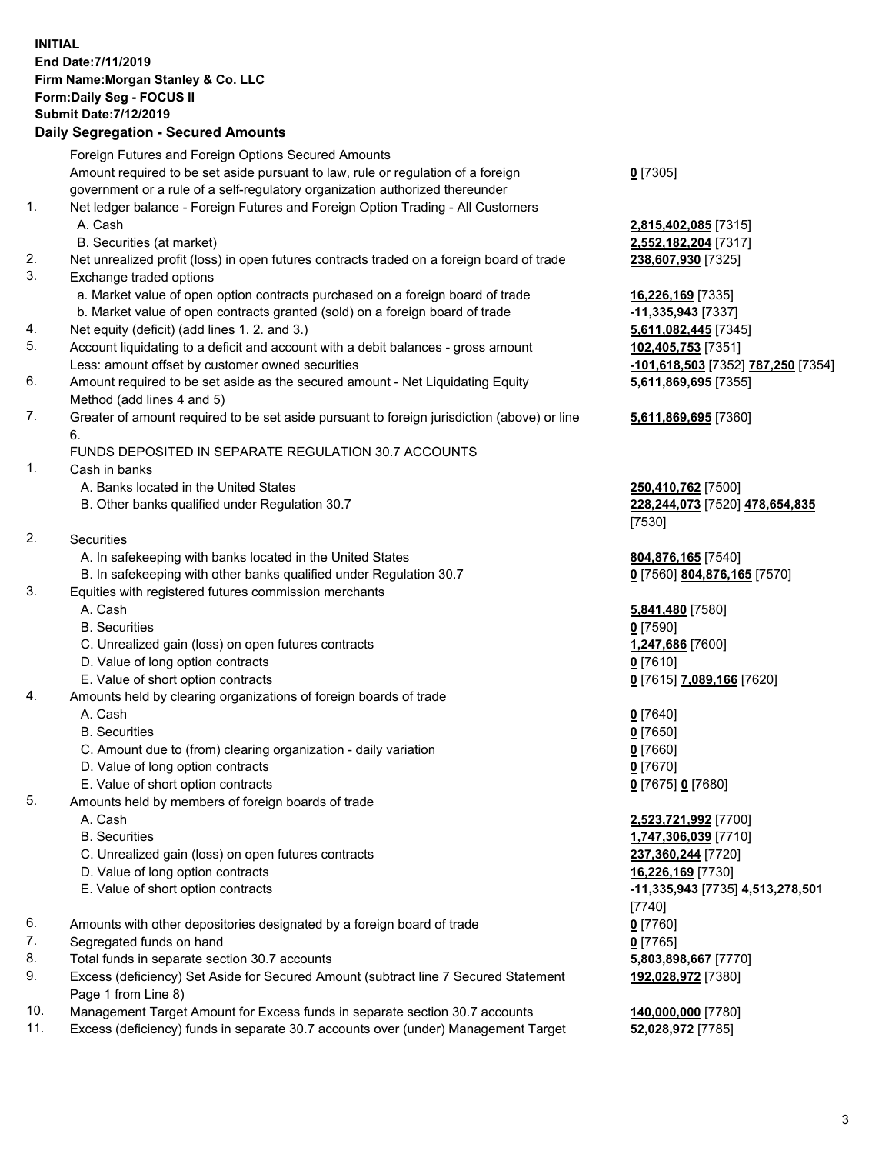## **INITIAL End Date:7/11/2019 Firm Name:Morgan Stanley & Co. LLC Form:Daily Seg - FOCUS II Submit Date:7/12/2019**

## **Daily Segregation - Secured Amounts**

|          | Foreign Futures and Foreign Options Secured Amounts                                                                                |                                                 |
|----------|------------------------------------------------------------------------------------------------------------------------------------|-------------------------------------------------|
|          | Amount required to be set aside pursuant to law, rule or regulation of a foreign                                                   | $0$ [7305]                                      |
|          | government or a rule of a self-regulatory organization authorized thereunder                                                       |                                                 |
| 1.       | Net ledger balance - Foreign Futures and Foreign Option Trading - All Customers                                                    |                                                 |
|          | A. Cash                                                                                                                            | 2,815,402,085 [7                                |
|          | B. Securities (at market)                                                                                                          | 2,552,182,204 [7                                |
| 2.       | Net unrealized profit (loss) in open futures contracts traded on a foreign board of trade                                          | 238,607,930 [732                                |
| 3.       | Exchange traded options                                                                                                            |                                                 |
|          | a. Market value of open option contracts purchased on a foreign board of trade                                                     | 16,226,169 [7335                                |
|          | b. Market value of open contracts granted (sold) on a foreign board of trade                                                       | <mark>-11,335,943</mark> [733                   |
| 4.<br>5. | Net equity (deficit) (add lines 1.2. and 3.)                                                                                       | 5,611,082,445 [7                                |
|          | Account liquidating to a deficit and account with a debit balances - gross amount                                                  | 102,405,753 [735                                |
| 6.       | Less: amount offset by customer owned securities<br>Amount required to be set aside as the secured amount - Net Liquidating Equity | -101,618,503 <sub>[73</sub><br>5,611,869,695 [7 |
|          | Method (add lines 4 and 5)                                                                                                         |                                                 |
| 7.       | Greater of amount required to be set aside pursuant to foreign jurisdiction (above) or line                                        | 5,611,869,695 [7                                |
|          | 6.                                                                                                                                 |                                                 |
|          | FUNDS DEPOSITED IN SEPARATE REGULATION 30.7 ACCOUNTS                                                                               |                                                 |
| 1.       | Cash in banks                                                                                                                      |                                                 |
|          | A. Banks located in the United States                                                                                              | 250,410,762 [750                                |
|          | B. Other banks qualified under Regulation 30.7                                                                                     | 228,244,073 [752                                |
|          |                                                                                                                                    | [7530]                                          |
| 2.       | Securities                                                                                                                         |                                                 |
|          | A. In safekeeping with banks located in the United States                                                                          | 804,876,165 [754                                |
|          | B. In safekeeping with other banks qualified under Regulation 30.7                                                                 | 0 [7560] 804,876                                |
| 3.       | Equities with registered futures commission merchants                                                                              |                                                 |
|          | A. Cash                                                                                                                            | 5,841,480 [7580]                                |
|          | <b>B.</b> Securities                                                                                                               | $0$ [7590]                                      |
|          | C. Unrealized gain (loss) on open futures contracts                                                                                | 1,247,686 [7600]                                |
|          | D. Value of long option contracts                                                                                                  | $0$ [7610]                                      |
|          | E. Value of short option contracts                                                                                                 | 0 [7615] 7,089,1                                |
| 4.       | Amounts held by clearing organizations of foreign boards of trade                                                                  |                                                 |
|          | A. Cash                                                                                                                            | $0$ [7640]                                      |
|          | <b>B.</b> Securities                                                                                                               | $0$ [7650]                                      |
|          | C. Amount due to (from) clearing organization - daily variation                                                                    | $0$ [7660]                                      |
|          | D. Value of long option contracts                                                                                                  | $0$ [7670]                                      |
|          | E. Value of short option contracts                                                                                                 | 0 [7675] 0 [7680]                               |
| 5.       | Amounts held by members of foreign boards of trade                                                                                 |                                                 |
|          | A. Cash<br><b>B.</b> Securities                                                                                                    | 2,523,721,992 [7<br>1,747,306,039 [7            |
|          | C. Unrealized gain (loss) on open futures contracts                                                                                | 237,360,244 [772                                |
|          | D. Value of long option contracts                                                                                                  | 16,226,169 [7730                                |
|          | E. Value of short option contracts                                                                                                 | -11,335,943 [773                                |
|          |                                                                                                                                    | [7740]                                          |
| 6.       | Amounts with other depositories designated by a foreign board of trade                                                             | $0$ [7760]                                      |
| 7.       | Segregated funds on hand                                                                                                           | $0$ [7765]                                      |
| 8.       | Total funds in separate section 30.7 accounts                                                                                      | 5,803,898,667 [7                                |
| 9.       | Excess (deficiency) Set Aside for Secured Amount (subtract line 7 Secured Statement                                                | 192,028,972 [738                                |
|          | Page 1 from Line 8)                                                                                                                |                                                 |

- 10. Management Target Amount for Excess funds in separate section 30.7 accounts **140,000,000** [7780]
- 11. Excess (deficiency) funds in separate 30.7 accounts over (under) Management Target **52,028,972** [7785]

 A. Cash **2,815,402,085** [7315]  $B. 182, 204$  [7317] 207,930 [7325]

a. 169 [7335] **35,943** [7337] **082,445** [7345] 65, 753 [7351] Less: amount offset by customer owned securities **-101,618,503** [7352] **787,250** [7354] **5,611,869,695** [7355]

## **5,611,869,695** [7360]

A. **10,762** [7500] B. Other banks qualified under Regulation 30.7 **228,244,073** [7520] **478,654,835** [(

876,165<sup>[7540]</sup>  $60]$  **804,876,165** [7570]

E. Value of short option contracts **0** [7615] **7,089,166** [7620]

 A. Cash **2,523,721,992** [7700] B. Securities **1,747,306,039** [7710] 60,244 [7720] **0. 169** [7730] E. Value of short option contracts **-11,335,943** [7735] **4,513,278,501**  $)]$ 898,667 [7770] **192,028,972** [7380]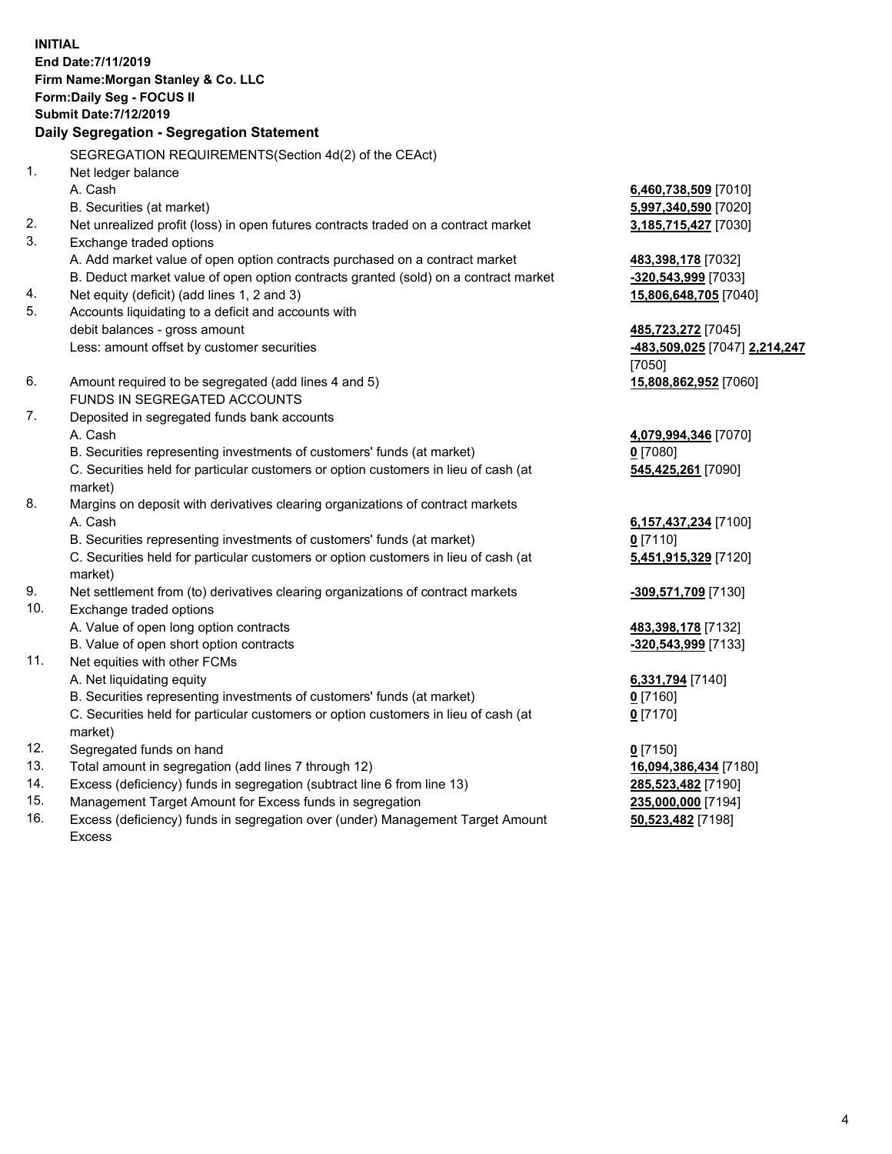**INITIAL End Date:7/11/2019 Firm Name:Morgan Stanley & Co. LLC Form:Daily Seg - FOCUS II Submit Date:7/12/2019 Daily Segregation - Segregation Statement** SEGREGATION REQUIREMENTS(Section 4d(2) of the CEAct) 1. Net ledger balance A. Cash **6,460,738,509** [7010] B. Securities (at market) **5,997,340,590** [7020] 2. Net unrealized profit (loss) in open futures contracts traded on a contract market **3,185,715,427** [7030] 3. Exchange traded options A. Add market value of open option contracts purchased on a contract market **483,398,178** [7032] B. Deduct market value of open option contracts granted (sold) on a contract market **-320,543,999** [7033] 4. Net equity (deficit) (add lines 1, 2 and 3) **15,806,648,705** [7040] 5. Accounts liquidating to a deficit and accounts with debit balances - gross amount **485,723,272** [7045] Less: amount offset by customer securities **-483,509,025** [7047] **2,214,247** [7050] 6. Amount required to be segregated (add lines 4 and 5) **15,808,862,952** [7060] FUNDS IN SEGREGATED ACCOUNTS 7. Deposited in segregated funds bank accounts A. Cash **4,079,994,346** [7070] B. Securities representing investments of customers' funds (at market) **0** [7080] C. Securities held for particular customers or option customers in lieu of cash (at market) **545,425,261** [7090] 8. Margins on deposit with derivatives clearing organizations of contract markets A. Cash **6,157,437,234** [7100] B. Securities representing investments of customers' funds (at market) **0** [7110] C. Securities held for particular customers or option customers in lieu of cash (at market) **5,451,915,329** [7120] 9. Net settlement from (to) derivatives clearing organizations of contract markets **-309,571,709** [7130] 10. Exchange traded options A. Value of open long option contracts **483,398,178** [7132] B. Value of open short option contracts **and the set of open short option contracts -320,543,999** [7133] 11. Net equities with other FCMs A. Net liquidating equity **6,331,794** [7140] B. Securities representing investments of customers' funds (at market) **0** [7160] C. Securities held for particular customers or option customers in lieu of cash (at market) **0** [7170] 12. Segregated funds on hand **0** [7150] 13. Total amount in segregation (add lines 7 through 12) **16,094,386,434** [7180] 14. Excess (deficiency) funds in segregation (subtract line 6 from line 13) **285,523,482** [7190]

- 15. Management Target Amount for Excess funds in segregation **235,000,000** [7194]
- 16. Excess (deficiency) funds in segregation over (under) Management Target Amount Excess

**50,523,482** [7198]